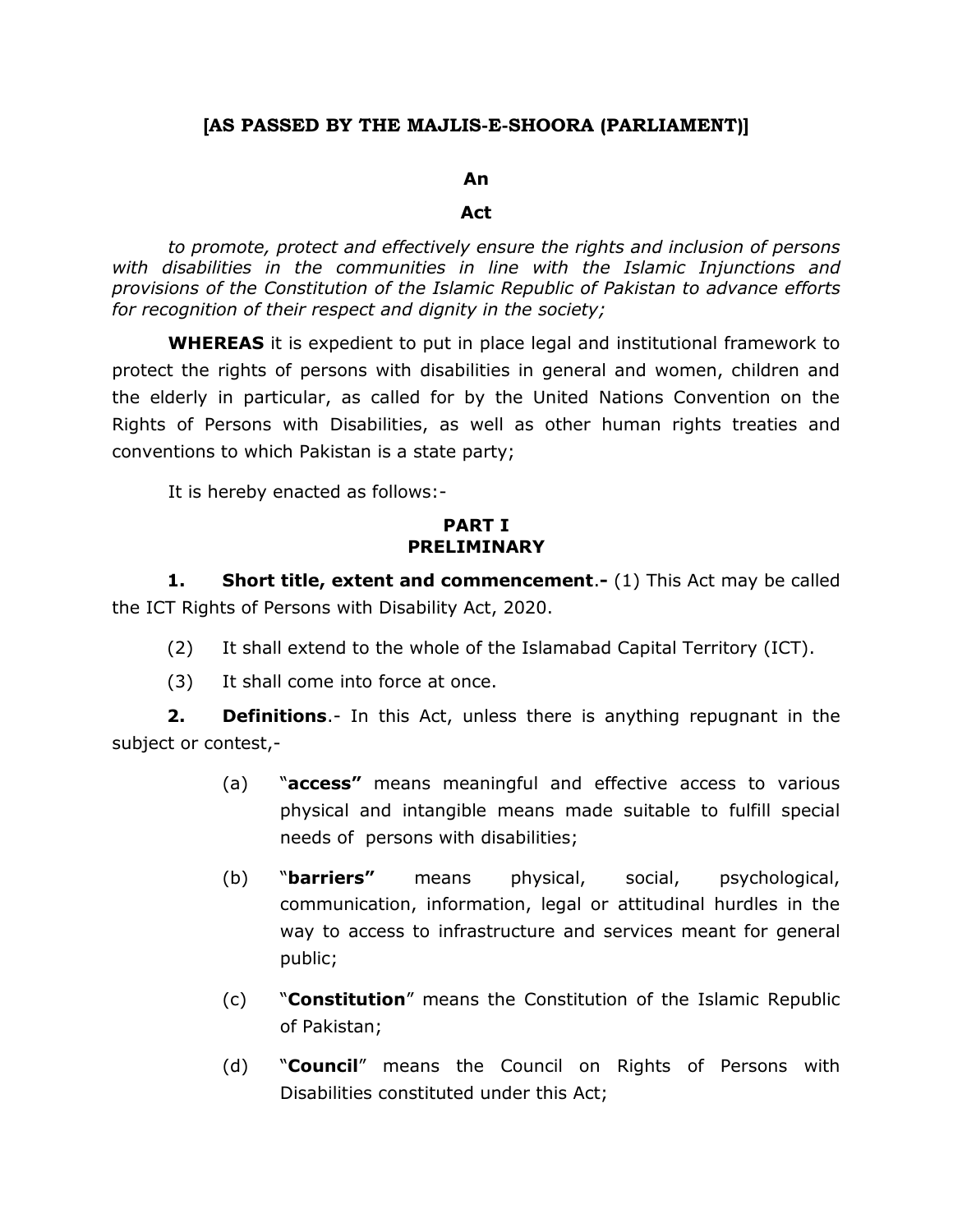# **[AS PASSED BY THE MAJLIS-E-SHOORA (PARLIAMENT)]**

#### **An**

#### **Act**

*to promote, protect and effectively ensure the rights and inclusion of persons with disabilities in the communities in line with the Islamic Injunctions and provisions of the Constitution of the Islamic Republic of Pakistan to advance efforts for recognition of their respect and dignity in the society;*

**WHEREAS** it is expedient to put in place legal and institutional framework to protect the rights of persons with disabilities in general and women, children and the elderly in particular, as called for by the United Nations Convention on the Rights of Persons with Disabilities, as well as other human rights treaties and conventions to which Pakistan is a state party;

It is hereby enacted as follows:-

### **PART I PRELIMINARY**

**1. Short title, extent and commencement**.**-** (1) This Act may be called the ICT Rights of Persons with Disability Act, 2020.

- (2) It shall extend to the whole of the Islamabad Capital Territory (ICT).
- (3) It shall come into force at once.

**2. Definitions**.- In this Act, unless there is anything repugnant in the subject or contest,-

- (a) "**access"** means meaningful and effective access to various physical and intangible means made suitable to fulfill special needs of persons with disabilities;
- (b) "**barriers"** means physical, social, psychological, communication, information, legal or attitudinal hurdles in the way to access to infrastructure and services meant for general public;
- (c) "**Constitution**" means the Constitution of the Islamic Republic of Pakistan;
- (d) "**Council**" means the Council on Rights of Persons with Disabilities constituted under this Act;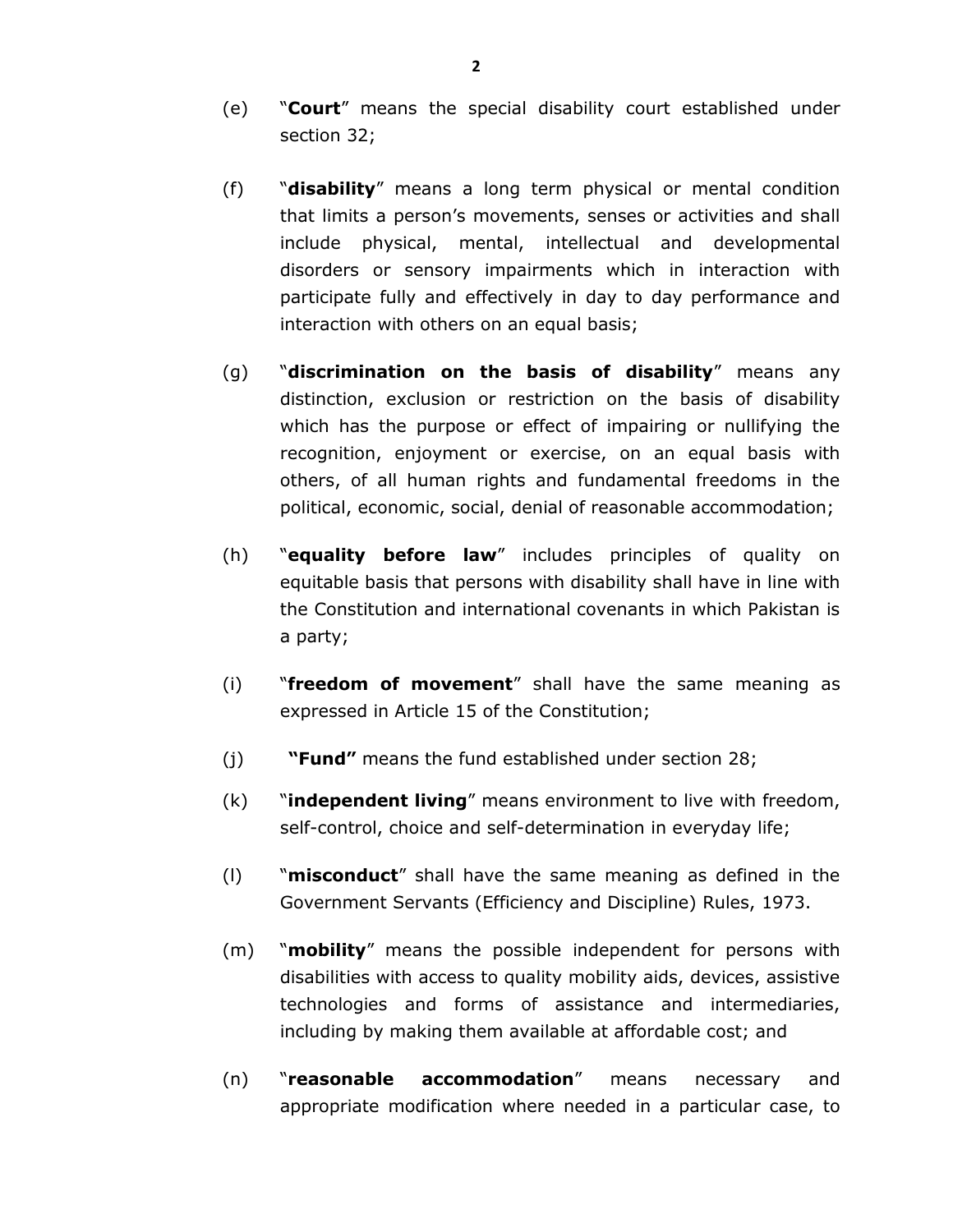- (e) "**Court**" means the special disability court established under section 32;
- (f) "**disability**" means a long term physical or mental condition that limits a person's movements, senses or activities and shall include physical, mental, intellectual and developmental disorders or sensory impairments which in interaction with participate fully and effectively in day to day performance and interaction with others on an equal basis;
- (g) "**discrimination on the basis of disability**" means any distinction, exclusion or restriction on the basis of disability which has the purpose or effect of impairing or nullifying the recognition, enjoyment or exercise, on an equal basis with others, of all human rights and fundamental freedoms in the political, economic, social, denial of reasonable accommodation;
- (h) "**equality before law**" includes principles of quality on equitable basis that persons with disability shall have in line with the Constitution and international covenants in which Pakistan is a party;
- (i) "**freedom of movement**" shall have the same meaning as expressed in Article 15 of the Constitution;
- (j) **"Fund"** means the fund established under section 28;
- (k) "**independent living**" means environment to live with freedom, self-control, choice and self-determination in everyday life;
- (l) "**misconduct**" shall have the same meaning as defined in the Government Servants (Efficiency and Discipline) Rules, 1973.
- (m) "**mobility**" means the possible independent for persons with disabilities with access to quality mobility aids, devices, assistive technologies and forms of assistance and intermediaries, including by making them available at affordable cost; and
- (n) "**reasonable accommodation**" means necessary and appropriate modification where needed in a particular case, to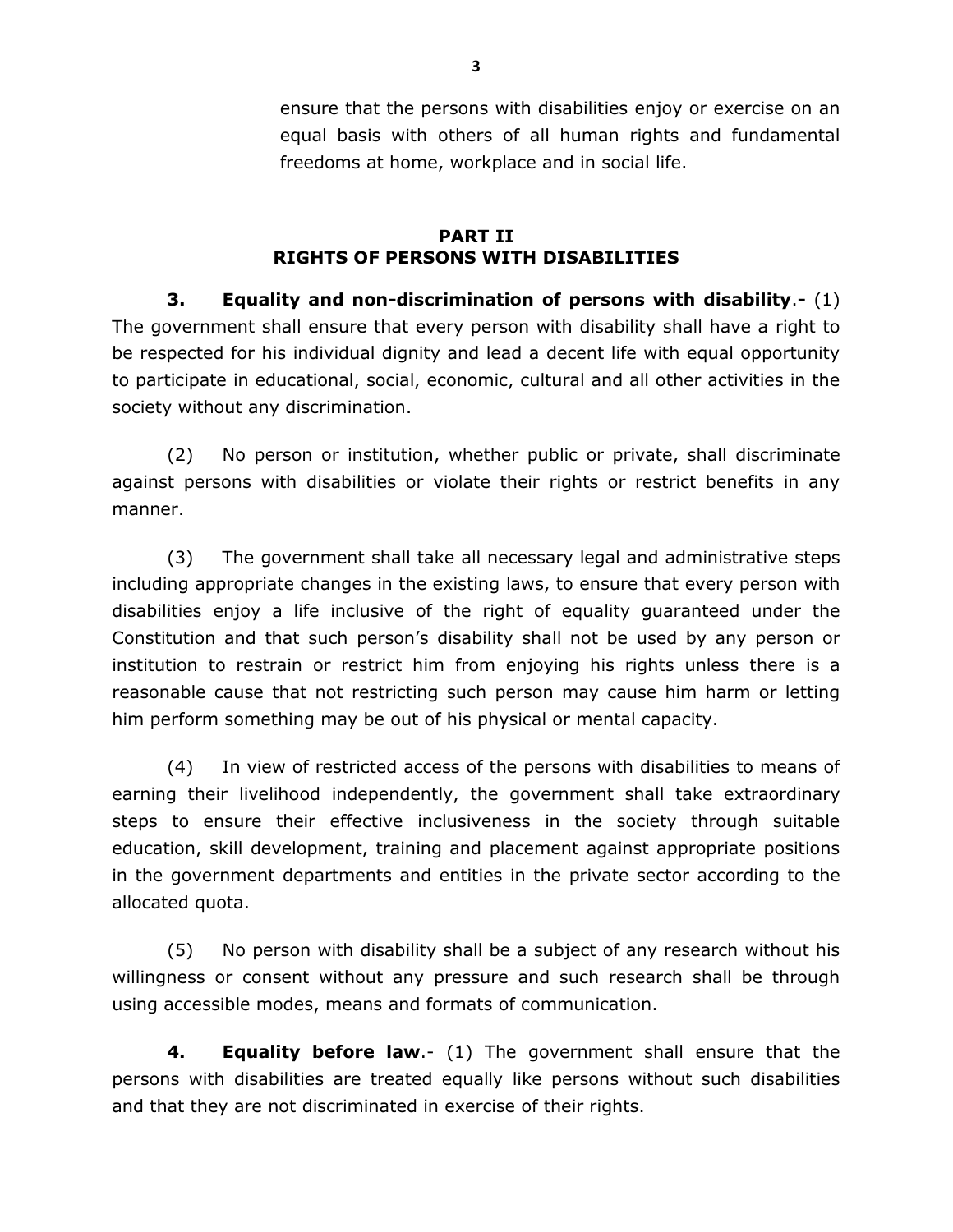ensure that the persons with disabilities enjoy or exercise on an equal basis with others of all human rights and fundamental freedoms at home, workplace and in social life.

# **PART II RIGHTS OF PERSONS WITH DISABILITIES**

**3. Equality and non-discrimination of persons with disability**.**-** (1) The government shall ensure that every person with disability shall have a right to be respected for his individual dignity and lead a decent life with equal opportunity to participate in educational, social, economic, cultural and all other activities in the society without any discrimination.

(2) No person or institution, whether public or private, shall discriminate against persons with disabilities or violate their rights or restrict benefits in any manner.

(3) The government shall take all necessary legal and administrative steps including appropriate changes in the existing laws, to ensure that every person with disabilities enjoy a life inclusive of the right of equality guaranteed under the Constitution and that such person's disability shall not be used by any person or institution to restrain or restrict him from enjoying his rights unless there is a reasonable cause that not restricting such person may cause him harm or letting him perform something may be out of his physical or mental capacity.

(4) In view of restricted access of the persons with disabilities to means of earning their livelihood independently, the government shall take extraordinary steps to ensure their effective inclusiveness in the society through suitable education, skill development, training and placement against appropriate positions in the government departments and entities in the private sector according to the allocated quota.

(5) No person with disability shall be a subject of any research without his willingness or consent without any pressure and such research shall be through using accessible modes, means and formats of communication.

**4. Equality before law**.- (1) The government shall ensure that the persons with disabilities are treated equally like persons without such disabilities and that they are not discriminated in exercise of their rights.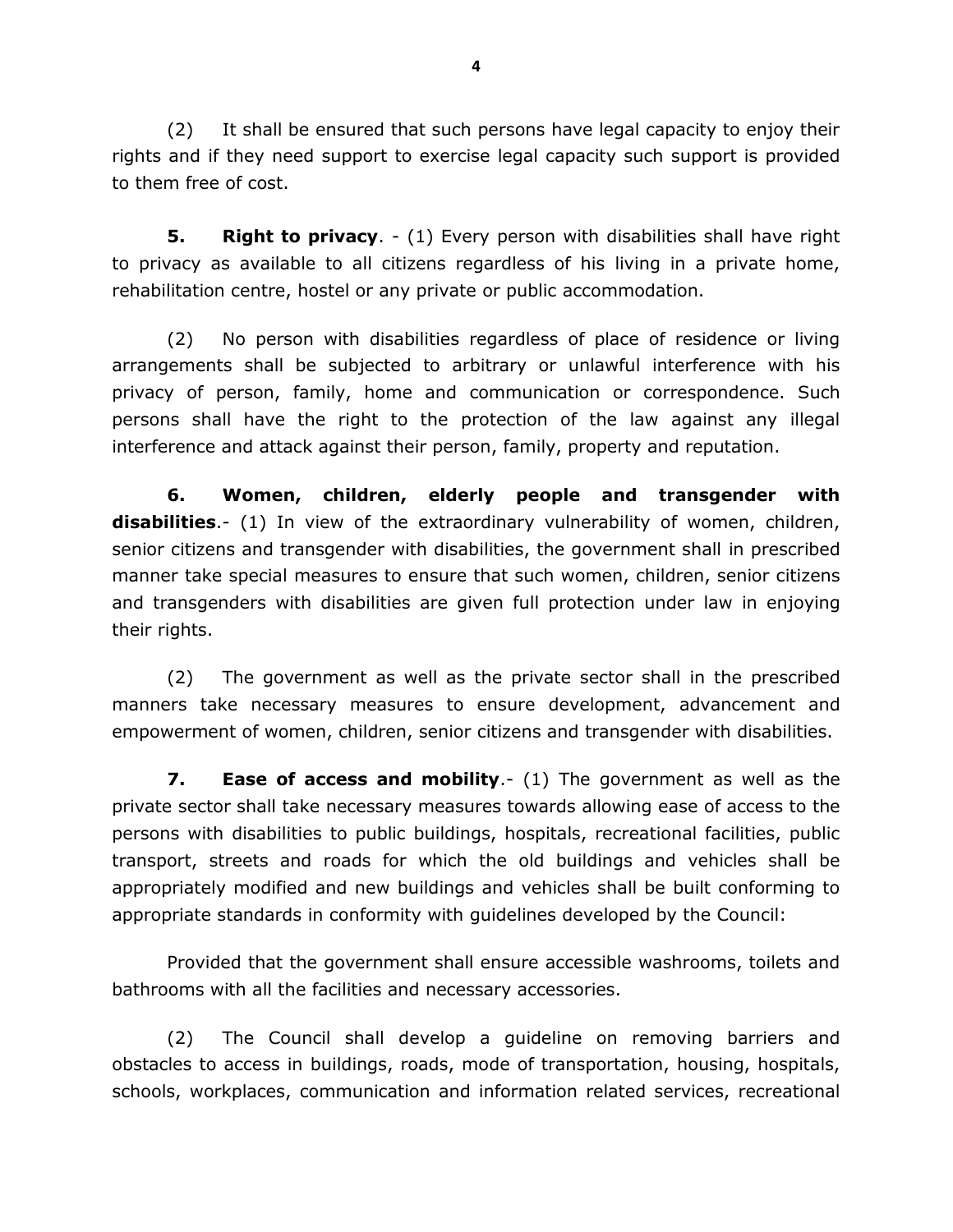(2) It shall be ensured that such persons have legal capacity to enjoy their rights and if they need support to exercise legal capacity such support is provided to them free of cost.

**5. Right to privacy**. - (1) Every person with disabilities shall have right to privacy as available to all citizens regardless of his living in a private home, rehabilitation centre, hostel or any private or public accommodation.

(2) No person with disabilities regardless of place of residence or living arrangements shall be subjected to arbitrary or unlawful interference with his privacy of person, family, home and communication or correspondence. Such persons shall have the right to the protection of the law against any illegal interference and attack against their person, family, property and reputation.

**6. Women, children, elderly people and transgender with disabilities**.- (1) In view of the extraordinary vulnerability of women, children, senior citizens and transgender with disabilities, the government shall in prescribed manner take special measures to ensure that such women, children, senior citizens and transgenders with disabilities are given full protection under law in enjoying their rights.

(2) The government as well as the private sector shall in the prescribed manners take necessary measures to ensure development, advancement and empowerment of women, children, senior citizens and transgender with disabilities.

**7. Ease of access and mobility**.- (1) The government as well as the private sector shall take necessary measures towards allowing ease of access to the persons with disabilities to public buildings, hospitals, recreational facilities, public transport, streets and roads for which the old buildings and vehicles shall be appropriately modified and new buildings and vehicles shall be built conforming to appropriate standards in conformity with guidelines developed by the Council:

Provided that the government shall ensure accessible washrooms, toilets and bathrooms with all the facilities and necessary accessories.

(2) The Council shall develop a guideline on removing barriers and obstacles to access in buildings, roads, mode of transportation, housing, hospitals, schools, workplaces, communication and information related services, recreational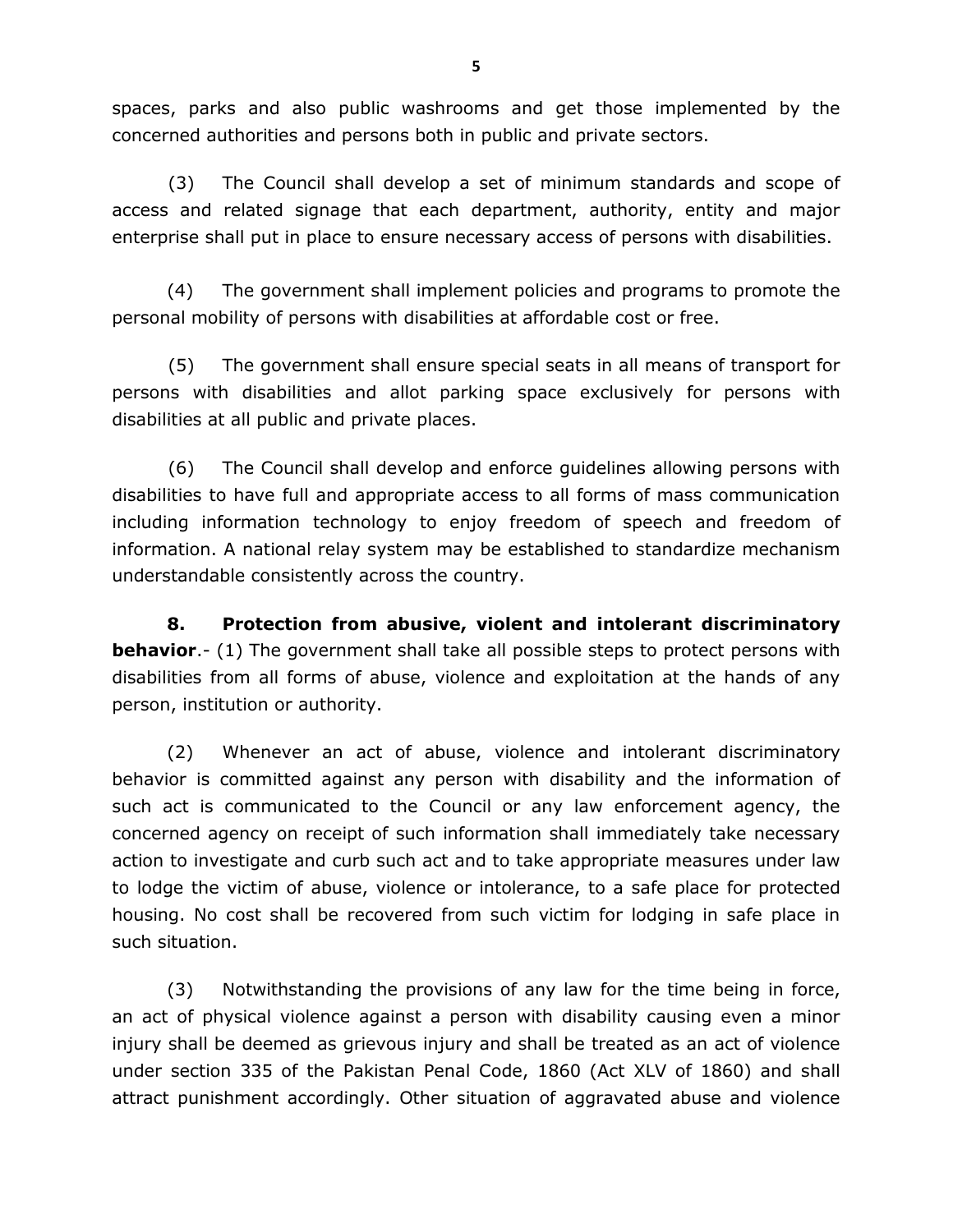spaces, parks and also public washrooms and get those implemented by the concerned authorities and persons both in public and private sectors.

(3) The Council shall develop a set of minimum standards and scope of access and related signage that each department, authority, entity and major enterprise shall put in place to ensure necessary access of persons with disabilities.

(4) The government shall implement policies and programs to promote the personal mobility of persons with disabilities at affordable cost or free.

(5) The government shall ensure special seats in all means of transport for persons with disabilities and allot parking space exclusively for persons with disabilities at all public and private places.

(6) The Council shall develop and enforce guidelines allowing persons with disabilities to have full and appropriate access to all forms of mass communication including information technology to enjoy freedom of speech and freedom of information. A national relay system may be established to standardize mechanism understandable consistently across the country.

**8. Protection from abusive, violent and intolerant discriminatory behavior.**- (1) The government shall take all possible steps to protect persons with disabilities from all forms of abuse, violence and exploitation at the hands of any person, institution or authority.

(2) Whenever an act of abuse, violence and intolerant discriminatory behavior is committed against any person with disability and the information of such act is communicated to the Council or any law enforcement agency, the concerned agency on receipt of such information shall immediately take necessary action to investigate and curb such act and to take appropriate measures under law to lodge the victim of abuse, violence or intolerance, to a safe place for protected housing. No cost shall be recovered from such victim for lodging in safe place in such situation.

(3) Notwithstanding the provisions of any law for the time being in force, an act of physical violence against a person with disability causing even a minor injury shall be deemed as grievous injury and shall be treated as an act of violence under section 335 of the Pakistan Penal Code, 1860 (Act XLV of 1860) and shall attract punishment accordingly. Other situation of aggravated abuse and violence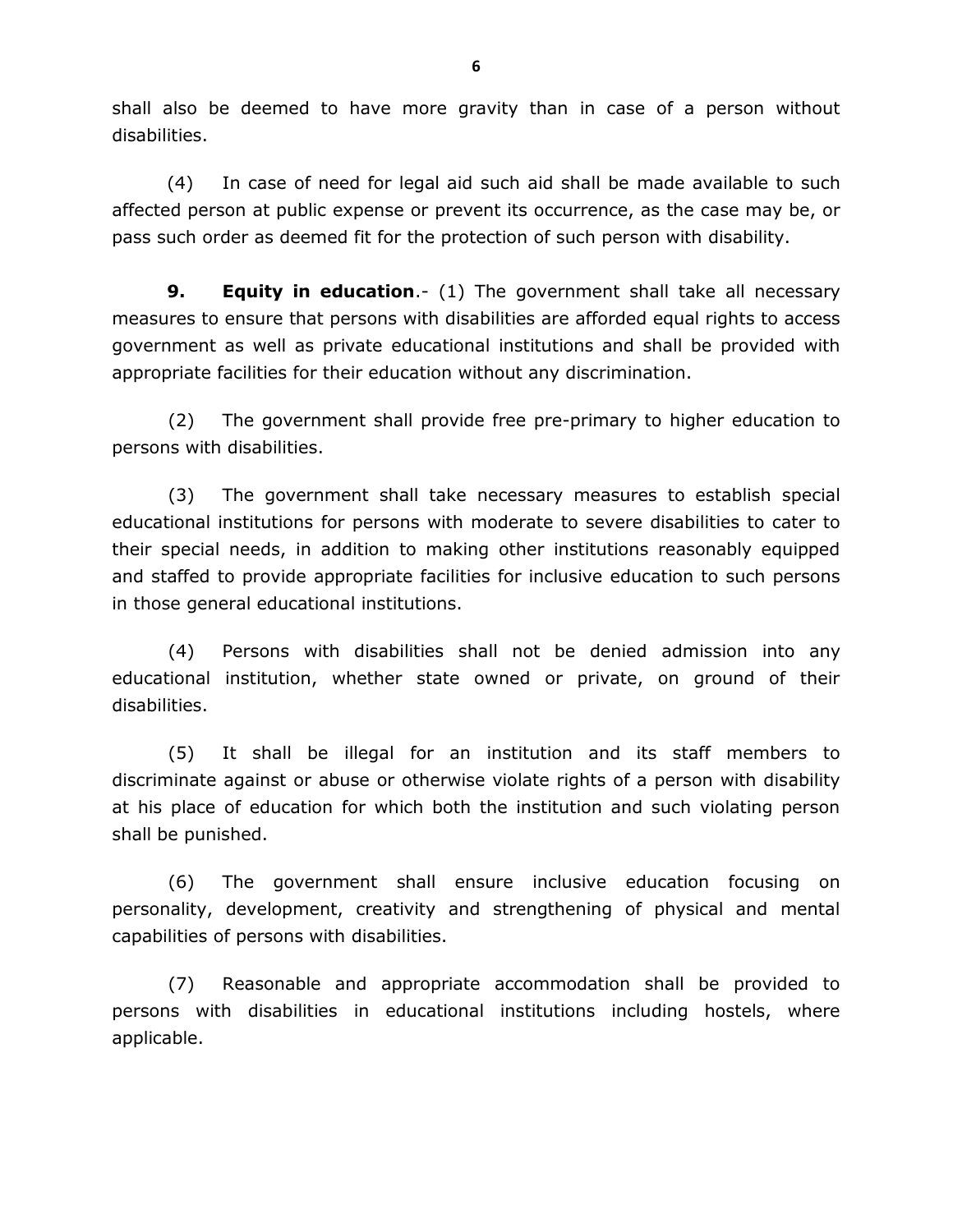shall also be deemed to have more gravity than in case of a person without disabilities.

(4) In case of need for legal aid such aid shall be made available to such affected person at public expense or prevent its occurrence, as the case may be, or pass such order as deemed fit for the protection of such person with disability.

**9. Equity in education**.- (1) The government shall take all necessary measures to ensure that persons with disabilities are afforded equal rights to access government as well as private educational institutions and shall be provided with appropriate facilities for their education without any discrimination.

(2) The government shall provide free pre-primary to higher education to persons with disabilities.

(3) The government shall take necessary measures to establish special educational institutions for persons with moderate to severe disabilities to cater to their special needs, in addition to making other institutions reasonably equipped and staffed to provide appropriate facilities for inclusive education to such persons in those general educational institutions.

(4) Persons with disabilities shall not be denied admission into any educational institution, whether state owned or private, on ground of their disabilities.

(5) It shall be illegal for an institution and its staff members to discriminate against or abuse or otherwise violate rights of a person with disability at his place of education for which both the institution and such violating person shall be punished.

(6) The government shall ensure inclusive education focusing on personality, development, creativity and strengthening of physical and mental capabilities of persons with disabilities.

(7) Reasonable and appropriate accommodation shall be provided to persons with disabilities in educational institutions including hostels, where applicable.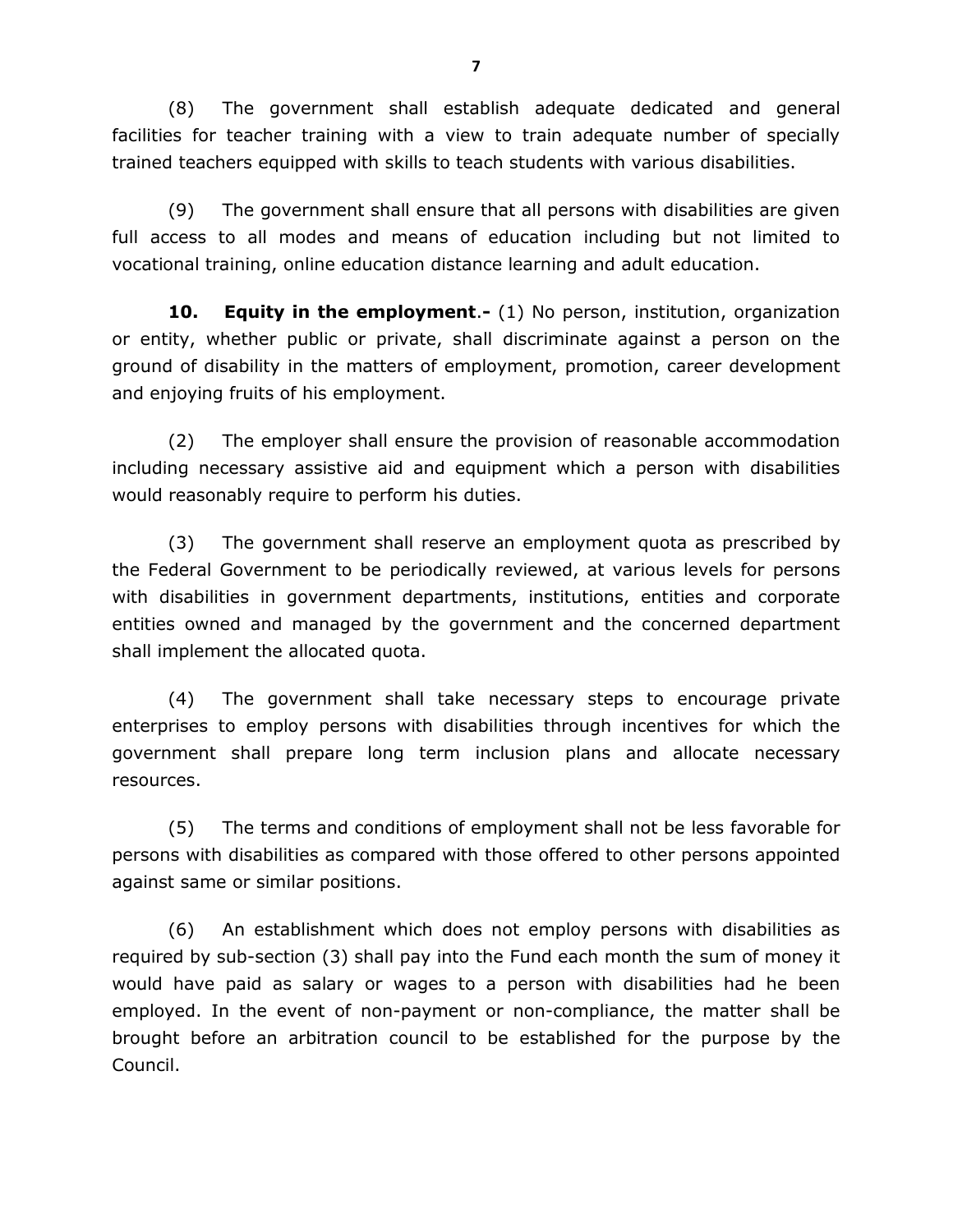(8) The government shall establish adequate dedicated and general facilities for teacher training with a view to train adequate number of specially trained teachers equipped with skills to teach students with various disabilities.

(9) The government shall ensure that all persons with disabilities are given full access to all modes and means of education including but not limited to vocational training, online education distance learning and adult education.

**10. Equity in the employment**.**-** (1) No person, institution, organization or entity, whether public or private, shall discriminate against a person on the ground of disability in the matters of employment, promotion, career development and enjoying fruits of his employment.

(2) The employer shall ensure the provision of reasonable accommodation including necessary assistive aid and equipment which a person with disabilities would reasonably require to perform his duties.

(3) The government shall reserve an employment quota as prescribed by the Federal Government to be periodically reviewed, at various levels for persons with disabilities in government departments, institutions, entities and corporate entities owned and managed by the government and the concerned department shall implement the allocated quota.

(4) The government shall take necessary steps to encourage private enterprises to employ persons with disabilities through incentives for which the government shall prepare long term inclusion plans and allocate necessary resources.

(5) The terms and conditions of employment shall not be less favorable for persons with disabilities as compared with those offered to other persons appointed against same or similar positions.

(6) An establishment which does not employ persons with disabilities as required by sub-section (3) shall pay into the Fund each month the sum of money it would have paid as salary or wages to a person with disabilities had he been employed. In the event of non-payment or non-compliance, the matter shall be brought before an arbitration council to be established for the purpose by the Council.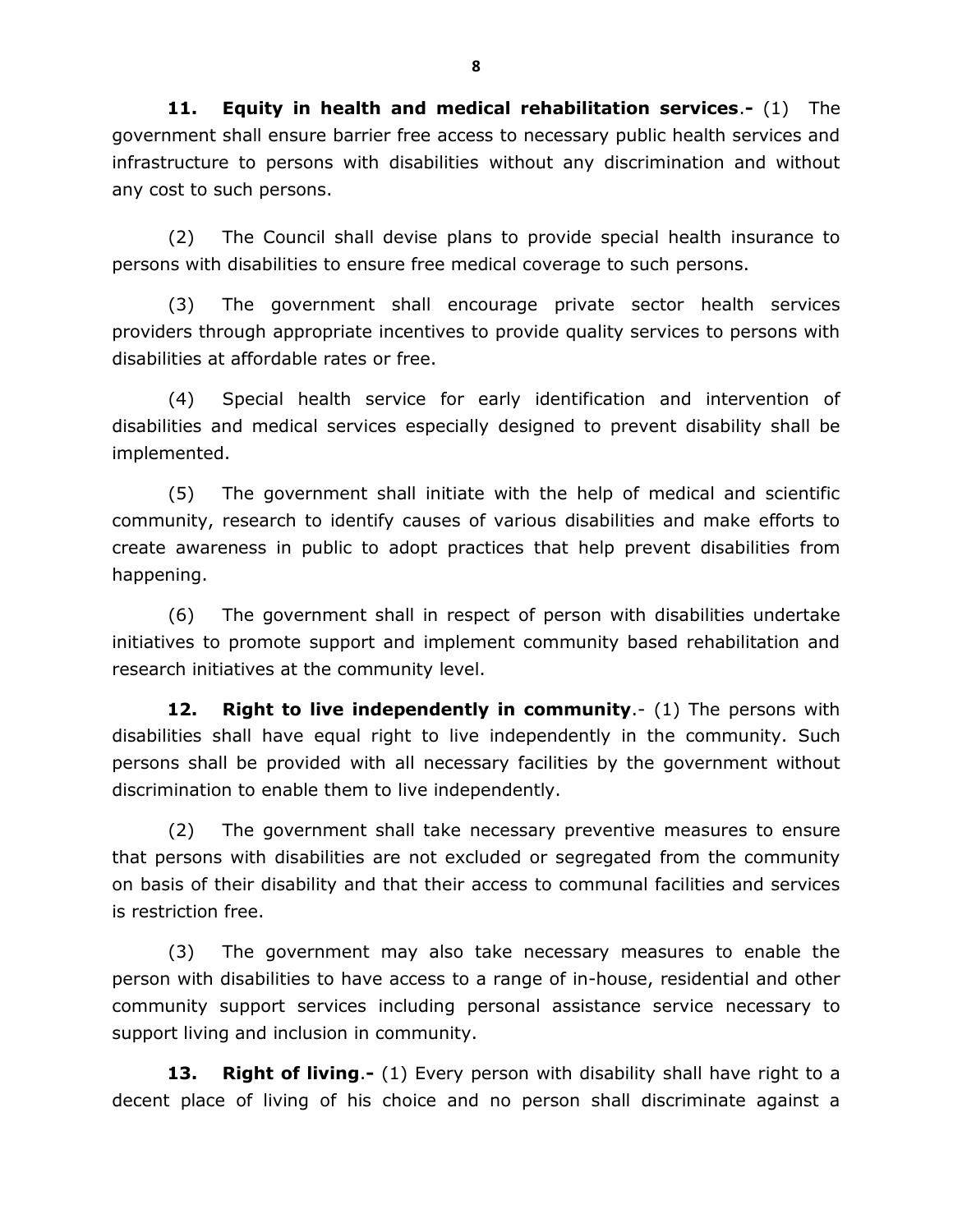**11. Equity in health and medical rehabilitation services**.**-** (1) The government shall ensure barrier free access to necessary public health services and infrastructure to persons with disabilities without any discrimination and without any cost to such persons.

(2) The Council shall devise plans to provide special health insurance to persons with disabilities to ensure free medical coverage to such persons.

(3) The government shall encourage private sector health services providers through appropriate incentives to provide quality services to persons with disabilities at affordable rates or free.

(4) Special health service for early identification and intervention of disabilities and medical services especially designed to prevent disability shall be implemented.

(5) The government shall initiate with the help of medical and scientific community, research to identify causes of various disabilities and make efforts to create awareness in public to adopt practices that help prevent disabilities from happening.

(6) The government shall in respect of person with disabilities undertake initiatives to promote support and implement community based rehabilitation and research initiatives at the community level.

**12. Right to live independently in community**.- (1) The persons with disabilities shall have equal right to live independently in the community. Such persons shall be provided with all necessary facilities by the government without discrimination to enable them to live independently.

(2) The government shall take necessary preventive measures to ensure that persons with disabilities are not excluded or segregated from the community on basis of their disability and that their access to communal facilities and services is restriction free.

(3) The government may also take necessary measures to enable the person with disabilities to have access to a range of in-house, residential and other community support services including personal assistance service necessary to support living and inclusion in community.

**13. Right of living**.**-** (1) Every person with disability shall have right to a decent place of living of his choice and no person shall discriminate against a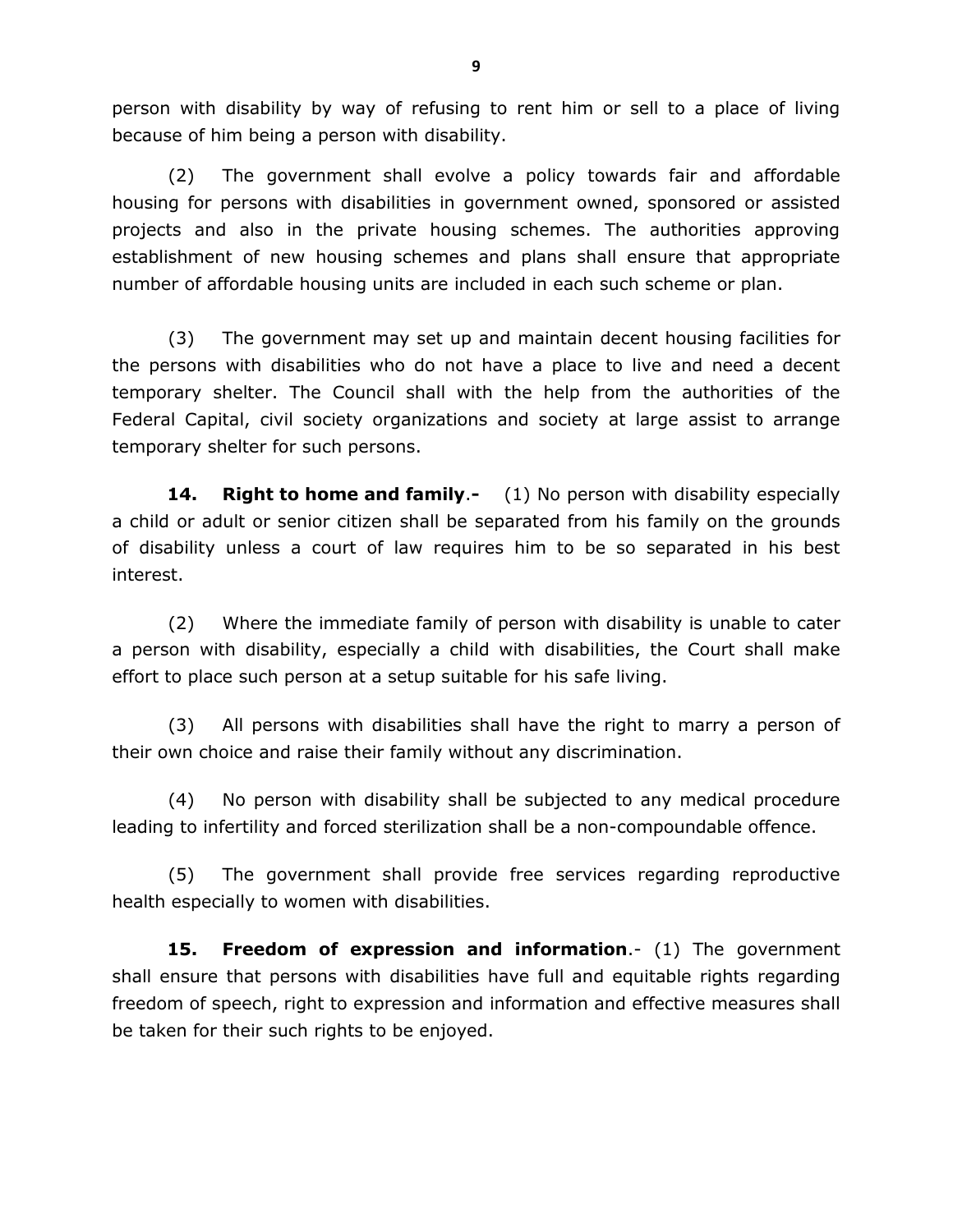person with disability by way of refusing to rent him or sell to a place of living because of him being a person with disability.

(2) The government shall evolve a policy towards fair and affordable housing for persons with disabilities in government owned, sponsored or assisted projects and also in the private housing schemes. The authorities approving establishment of new housing schemes and plans shall ensure that appropriate number of affordable housing units are included in each such scheme or plan.

(3) The government may set up and maintain decent housing facilities for the persons with disabilities who do not have a place to live and need a decent temporary shelter. The Council shall with the help from the authorities of the Federal Capital, civil society organizations and society at large assist to arrange temporary shelter for such persons.

**14. Right to home and family**.**-** (1) No person with disability especially a child or adult or senior citizen shall be separated from his family on the grounds of disability unless a court of law requires him to be so separated in his best interest.

(2) Where the immediate family of person with disability is unable to cater a person with disability, especially a child with disabilities, the Court shall make effort to place such person at a setup suitable for his safe living.

(3) All persons with disabilities shall have the right to marry a person of their own choice and raise their family without any discrimination.

(4) No person with disability shall be subjected to any medical procedure leading to infertility and forced sterilization shall be a non-compoundable offence.

(5) The government shall provide free services regarding reproductive health especially to women with disabilities.

**15. Freedom of expression and information**.- (1) The government shall ensure that persons with disabilities have full and equitable rights regarding freedom of speech, right to expression and information and effective measures shall be taken for their such rights to be enjoyed.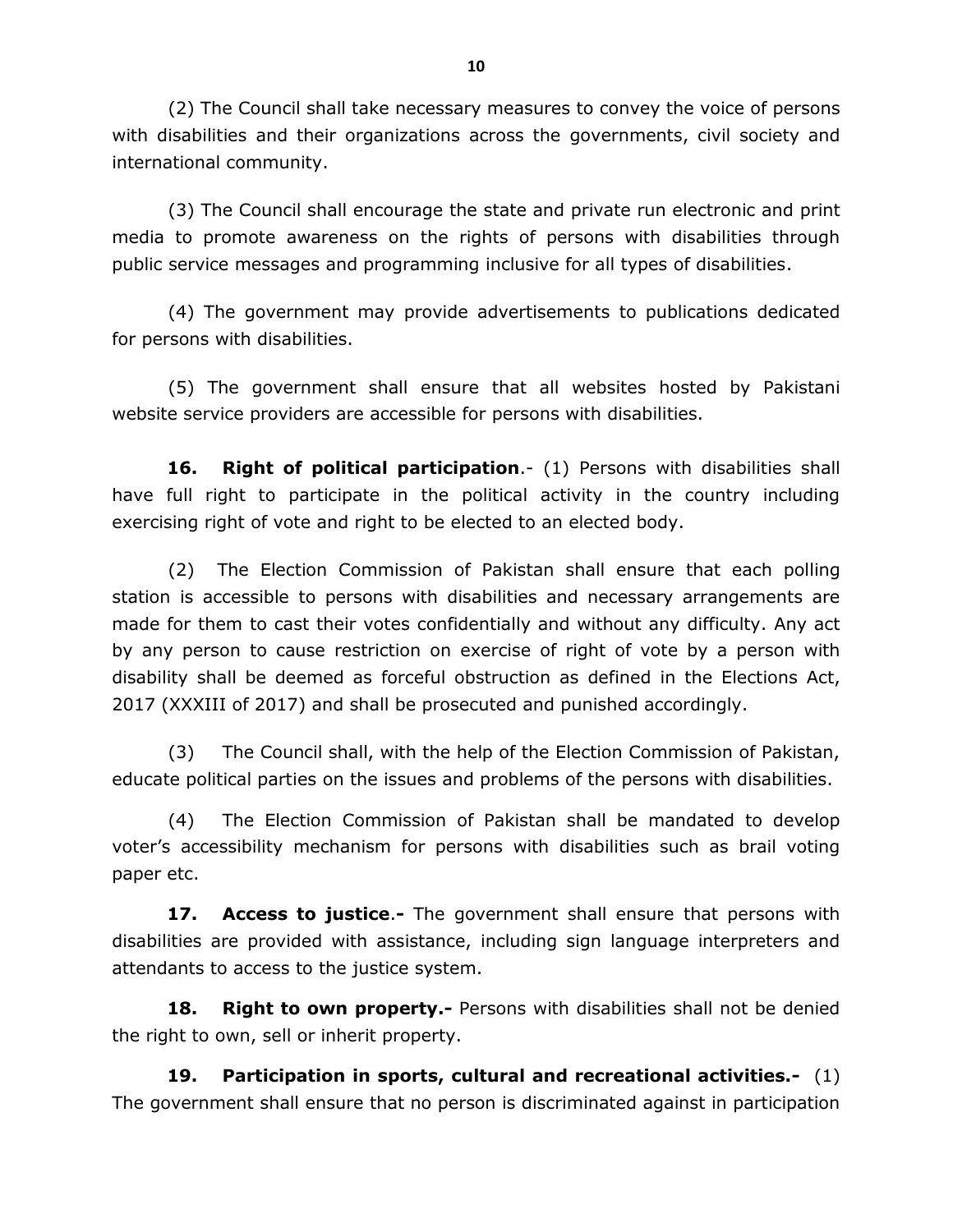(2) The Council shall take necessary measures to convey the voice of persons with disabilities and their organizations across the governments, civil society and international community.

(3) The Council shall encourage the state and private run electronic and print media to promote awareness on the rights of persons with disabilities through public service messages and programming inclusive for all types of disabilities.

(4) The government may provide advertisements to publications dedicated for persons with disabilities.

(5) The government shall ensure that all websites hosted by Pakistani website service providers are accessible for persons with disabilities.

**16. Right of political participation**.- (1) Persons with disabilities shall have full right to participate in the political activity in the country including exercising right of vote and right to be elected to an elected body.

(2) The Election Commission of Pakistan shall ensure that each polling station is accessible to persons with disabilities and necessary arrangements are made for them to cast their votes confidentially and without any difficulty. Any act by any person to cause restriction on exercise of right of vote by a person with disability shall be deemed as forceful obstruction as defined in the Elections Act, 2017 (XXXIII of 2017) and shall be prosecuted and punished accordingly.

(3) The Council shall, with the help of the Election Commission of Pakistan, educate political parties on the issues and problems of the persons with disabilities.

(4) The Election Commission of Pakistan shall be mandated to develop voter's accessibility mechanism for persons with disabilities such as brail voting paper etc.

**17. Access to justice**.**-** The government shall ensure that persons with disabilities are provided with assistance, including sign language interpreters and attendants to access to the justice system.

**18. Right to own property.-** Persons with disabilities shall not be denied the right to own, sell or inherit property.

**19. Participation in sports, cultural and recreational activities.-** (1) The government shall ensure that no person is discriminated against in participation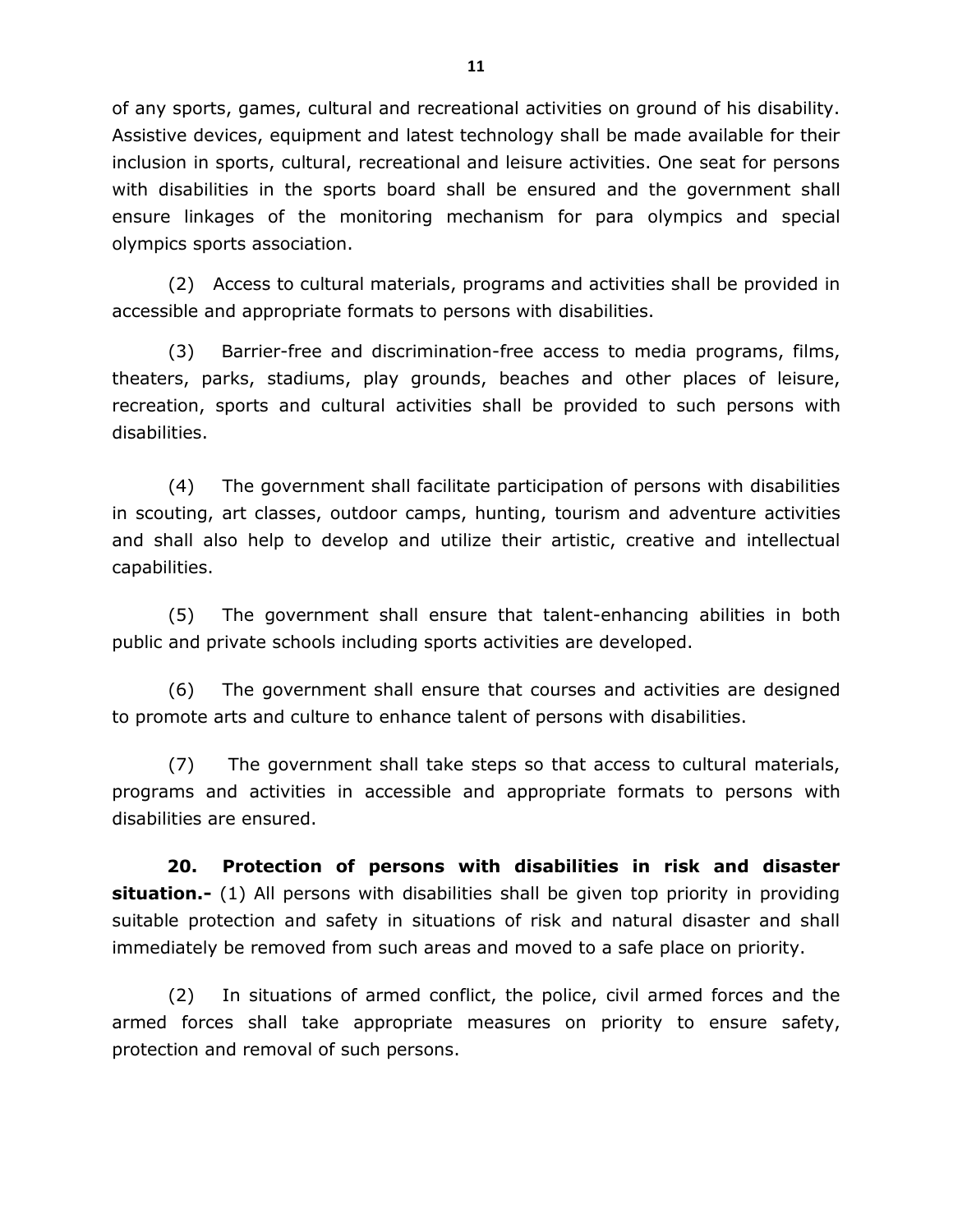of any sports, games, cultural and recreational activities on ground of his disability. Assistive devices, equipment and latest technology shall be made available for their inclusion in sports, cultural, recreational and leisure activities. One seat for persons with disabilities in the sports board shall be ensured and the government shall ensure linkages of the monitoring mechanism for para olympics and special olympics sports association.

(2) Access to cultural materials, programs and activities shall be provided in accessible and appropriate formats to persons with disabilities.

(3) Barrier-free and discrimination-free access to media programs, films, theaters, parks, stadiums, play grounds, beaches and other places of leisure, recreation, sports and cultural activities shall be provided to such persons with disabilities.

(4) The government shall facilitate participation of persons with disabilities in scouting, art classes, outdoor camps, hunting, tourism and adventure activities and shall also help to develop and utilize their artistic, creative and intellectual capabilities.

(5) The government shall ensure that talent-enhancing abilities in both public and private schools including sports activities are developed.

(6) The government shall ensure that courses and activities are designed to promote arts and culture to enhance talent of persons with disabilities.

(7) The government shall take steps so that access to cultural materials, programs and activities in accessible and appropriate formats to persons with disabilities are ensured.

**20. Protection of persons with disabilities in risk and disaster situation.-** (1) All persons with disabilities shall be given top priority in providing suitable protection and safety in situations of risk and natural disaster and shall immediately be removed from such areas and moved to a safe place on priority.

(2) In situations of armed conflict, the police, civil armed forces and the armed forces shall take appropriate measures on priority to ensure safety, protection and removal of such persons.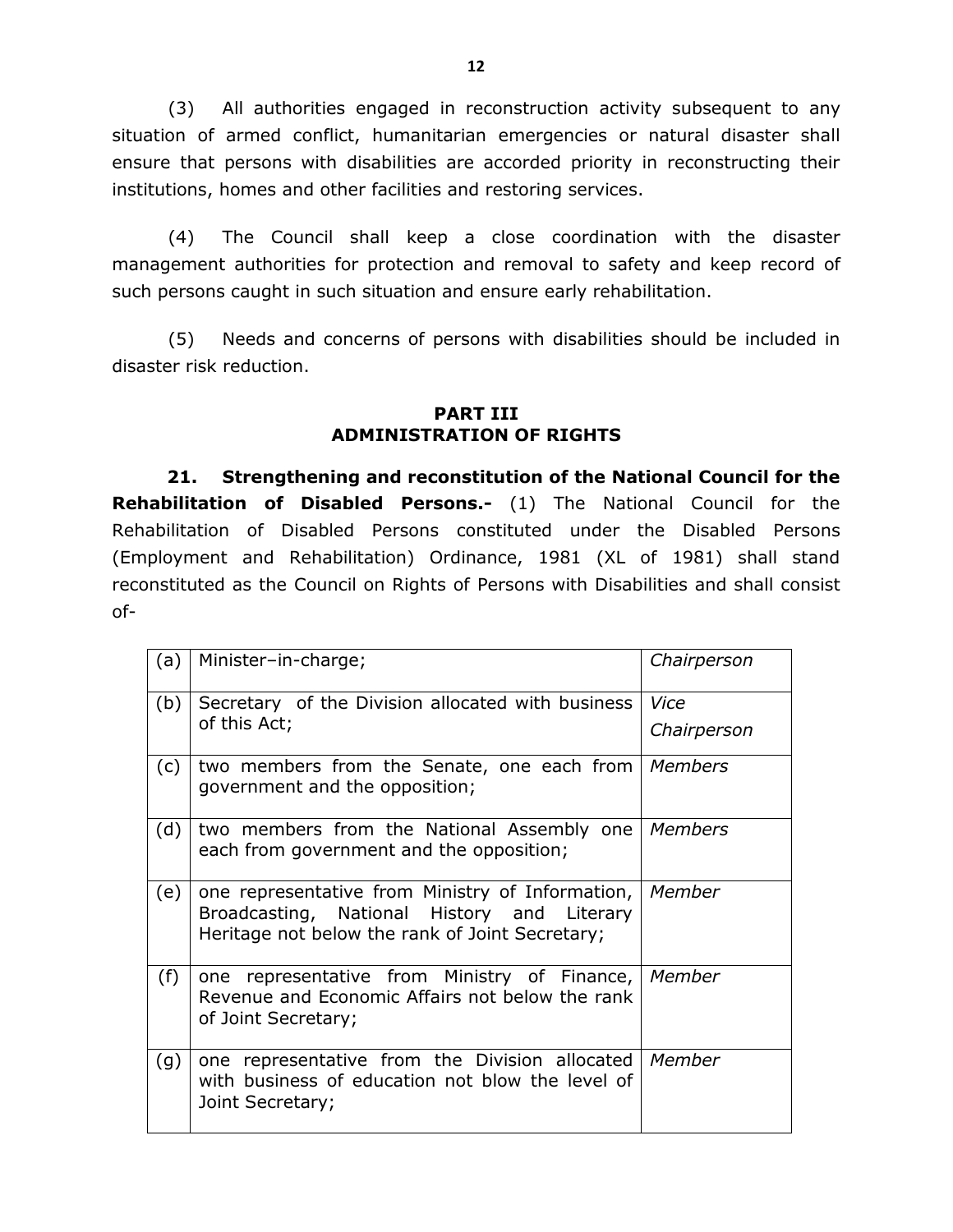(3) All authorities engaged in reconstruction activity subsequent to any situation of armed conflict, humanitarian emergencies or natural disaster shall ensure that persons with disabilities are accorded priority in reconstructing their institutions, homes and other facilities and restoring services.

(4) The Council shall keep a close coordination with the disaster management authorities for protection and removal to safety and keep record of such persons caught in such situation and ensure early rehabilitation.

(5) Needs and concerns of persons with disabilities should be included in disaster risk reduction.

## **PART III ADMINISTRATION OF RIGHTS**

**21. Strengthening and reconstitution of the National Council for the Rehabilitation of Disabled Persons.-** (1) The National Council for the Rehabilitation of Disabled Persons constituted under the Disabled Persons (Employment and Rehabilitation) Ordinance, 1981 (XL of 1981) shall stand reconstituted as the Council on Rights of Persons with Disabilities and shall consist of-

| (a) | Minister-in-charge;                                                                                                                                | Chairperson         |
|-----|----------------------------------------------------------------------------------------------------------------------------------------------------|---------------------|
| (b) | Secretary of the Division allocated with business<br>of this Act;                                                                                  | Vice<br>Chairperson |
| (c) | two members from the Senate, one each from<br>government and the opposition;                                                                       | Members             |
| (d) | two members from the National Assembly one<br>each from government and the opposition;                                                             | Members             |
| (e) | one representative from Ministry of Information,<br>Broadcasting, National History and Literary<br>Heritage not below the rank of Joint Secretary; | Member              |
| (f) | one representative from Ministry of Finance, Member<br>Revenue and Economic Affairs not below the rank<br>of Joint Secretary;                      |                     |
| (g) | one representative from the Division allocated<br>with business of education not blow the level of<br>Joint Secretary;                             | Member              |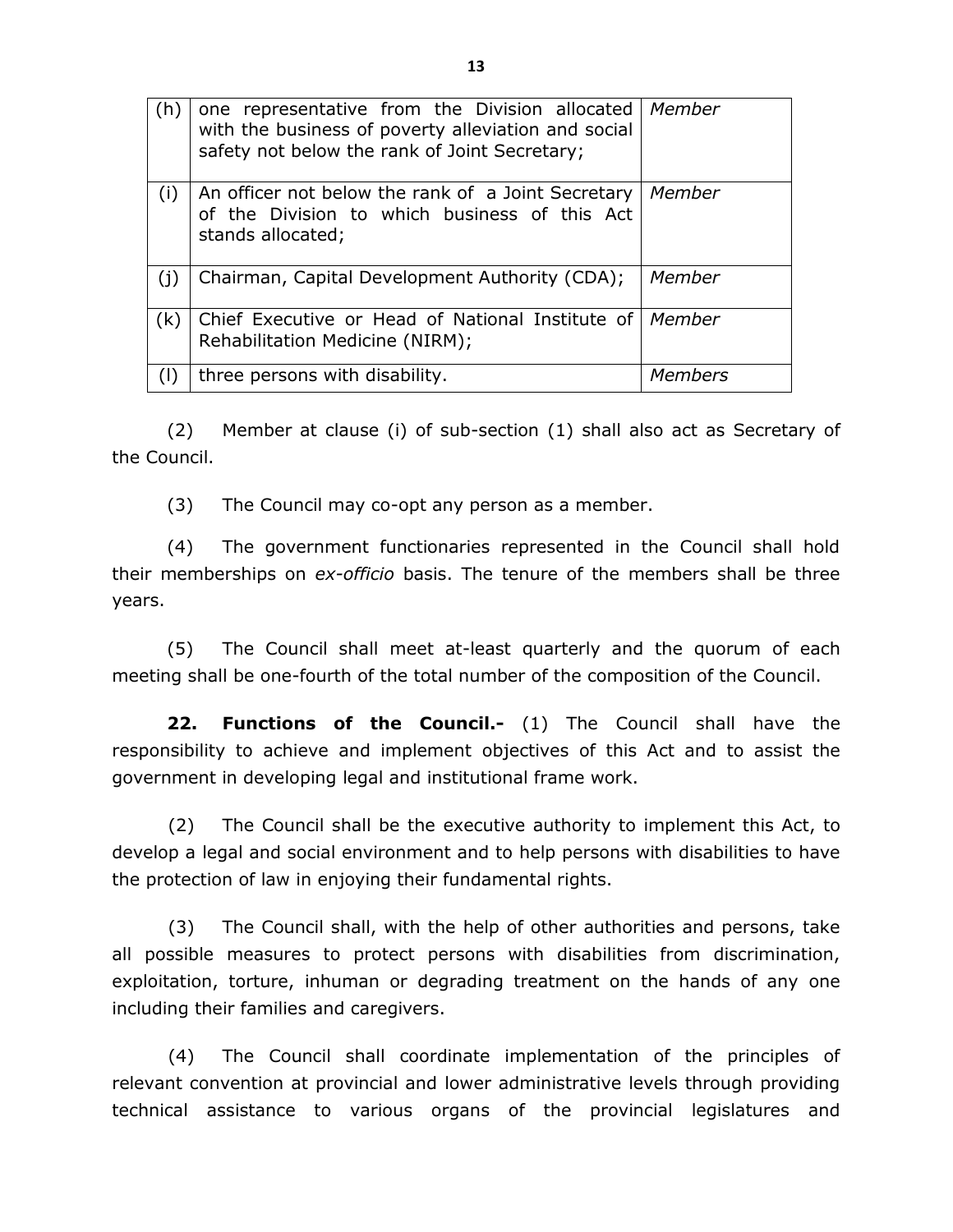| (h) | one representative from the Division allocated<br>with the business of poverty alleviation and social<br>safety not below the rank of Joint Secretary; | Member  |
|-----|--------------------------------------------------------------------------------------------------------------------------------------------------------|---------|
| (i) | An officer not below the rank of a Joint Secretary<br>of the Division to which business of this Act<br>stands allocated;                               | Member  |
| (j) | Chairman, Capital Development Authority (CDA);                                                                                                         | Member  |
| (k) | Chief Executive or Head of National Institute of   Member<br>Rehabilitation Medicine (NIRM);                                                           |         |
| (1) | three persons with disability.                                                                                                                         | Members |

(2) Member at clause (i) of sub-section (1) shall also act as Secretary of the Council.

(3) The Council may co-opt any person as a member.

(4) The government functionaries represented in the Council shall hold their memberships on *ex-officio* basis. The tenure of the members shall be three years.

(5) The Council shall meet at-least quarterly and the quorum of each meeting shall be one-fourth of the total number of the composition of the Council.

**22. Functions of the Council.-** (1) The Council shall have the responsibility to achieve and implement objectives of this Act and to assist the government in developing legal and institutional frame work.

(2) The Council shall be the executive authority to implement this Act, to develop a legal and social environment and to help persons with disabilities to have the protection of law in enjoying their fundamental rights.

(3) The Council shall, with the help of other authorities and persons, take all possible measures to protect persons with disabilities from discrimination, exploitation, torture, inhuman or degrading treatment on the hands of any one including their families and caregivers.

(4) The Council shall coordinate implementation of the principles of relevant convention at provincial and lower administrative levels through providing technical assistance to various organs of the provincial legislatures and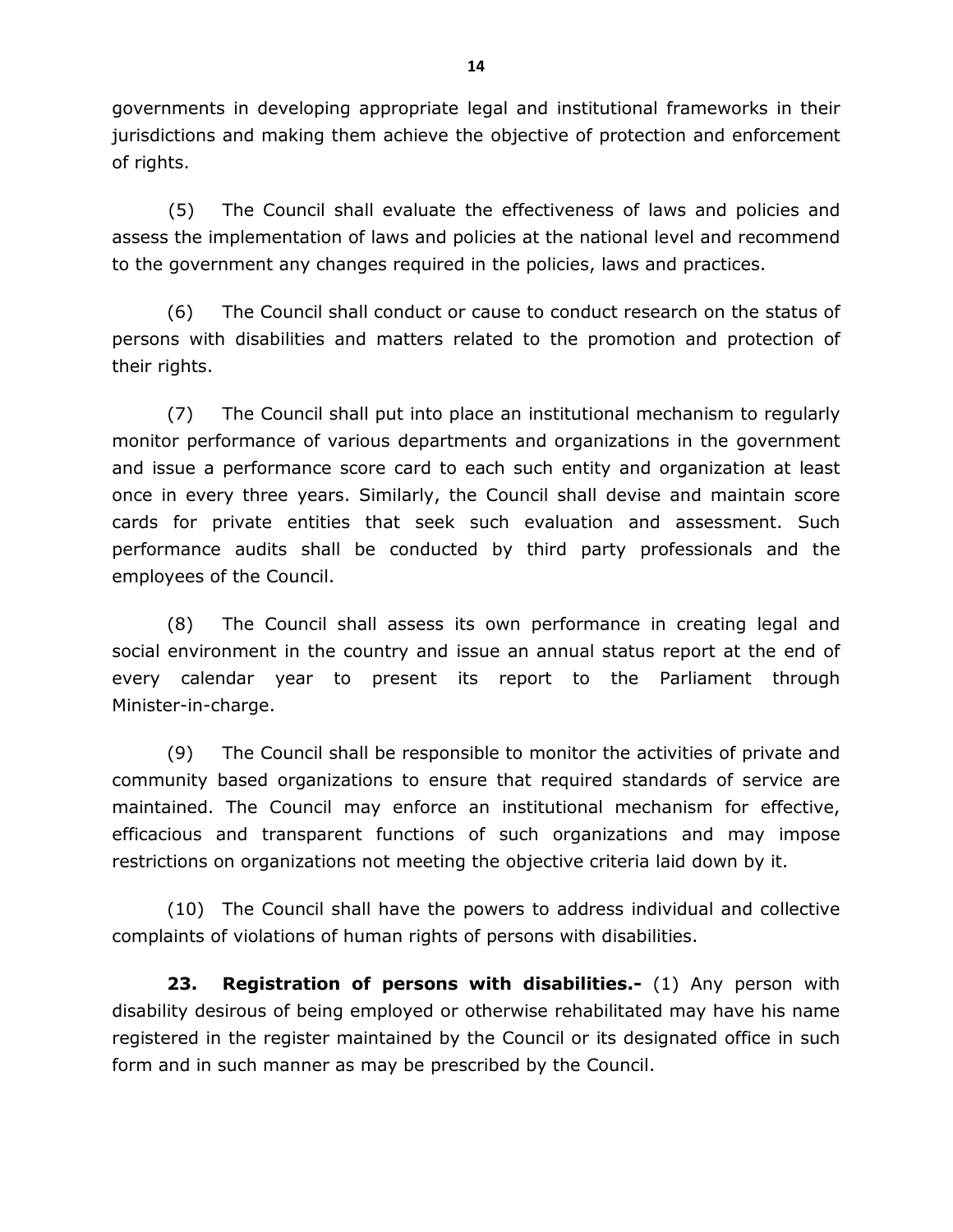governments in developing appropriate legal and institutional frameworks in their jurisdictions and making them achieve the objective of protection and enforcement of rights.

(5) The Council shall evaluate the effectiveness of laws and policies and assess the implementation of laws and policies at the national level and recommend to the government any changes required in the policies, laws and practices.

(6) The Council shall conduct or cause to conduct research on the status of persons with disabilities and matters related to the promotion and protection of their rights.

(7) The Council shall put into place an institutional mechanism to regularly monitor performance of various departments and organizations in the government and issue a performance score card to each such entity and organization at least once in every three years. Similarly, the Council shall devise and maintain score cards for private entities that seek such evaluation and assessment. Such performance audits shall be conducted by third party professionals and the employees of the Council.

(8) The Council shall assess its own performance in creating legal and social environment in the country and issue an annual status report at the end of every calendar year to present its report to the Parliament through Minister-in-charge.

(9) The Council shall be responsible to monitor the activities of private and community based organizations to ensure that required standards of service are maintained. The Council may enforce an institutional mechanism for effective, efficacious and transparent functions of such organizations and may impose restrictions on organizations not meeting the objective criteria laid down by it.

(10) The Council shall have the powers to address individual and collective complaints of violations of human rights of persons with disabilities.

**23. Registration of persons with disabilities.-** (1) Any person with disability desirous of being employed or otherwise rehabilitated may have his name registered in the register maintained by the Council or its designated office in such form and in such manner as may be prescribed by the Council.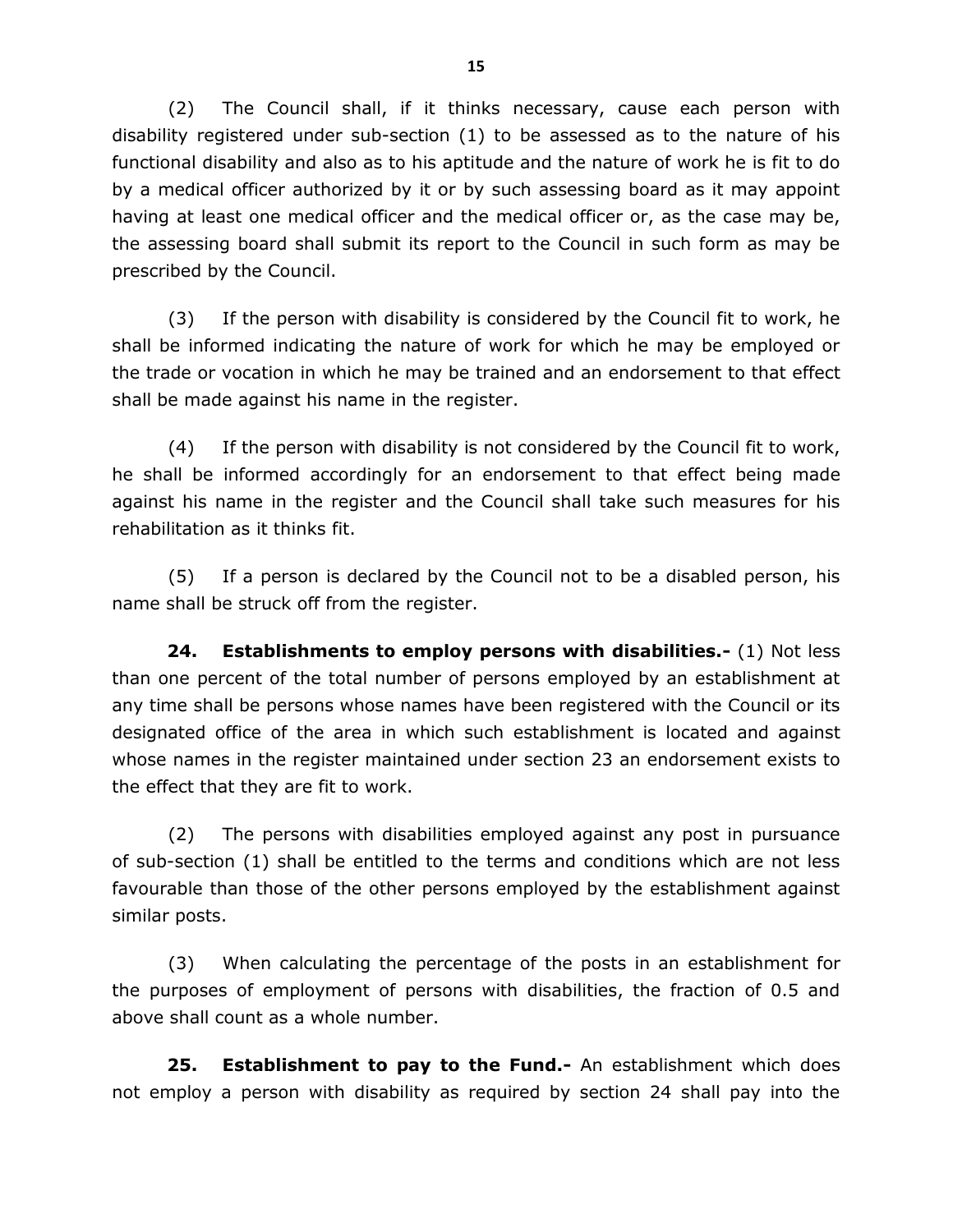(2) The Council shall, if it thinks necessary, cause each person with disability registered under sub-section (1) to be assessed as to the nature of his functional disability and also as to his aptitude and the nature of work he is fit to do by a medical officer authorized by it or by such assessing board as it may appoint having at least one medical officer and the medical officer or, as the case may be, the assessing board shall submit its report to the Council in such form as may be prescribed by the Council.

(3) If the person with disability is considered by the Council fit to work, he shall be informed indicating the nature of work for which he may be employed or the trade or vocation in which he may be trained and an endorsement to that effect shall be made against his name in the register.

(4) If the person with disability is not considered by the Council fit to work, he shall be informed accordingly for an endorsement to that effect being made against his name in the register and the Council shall take such measures for his rehabilitation as it thinks fit.

(5) If a person is declared by the Council not to be a disabled person, his name shall be struck off from the register.

**24. Establishments to employ persons with disabilities.-** (1) Not less than one percent of the total number of persons employed by an establishment at any time shall be persons whose names have been registered with the Council or its designated office of the area in which such establishment is located and against whose names in the register maintained under section 23 an endorsement exists to the effect that they are fit to work.

(2) The persons with disabilities employed against any post in pursuance of sub-section (1) shall be entitled to the terms and conditions which are not less favourable than those of the other persons employed by the establishment against similar posts.

(3) When calculating the percentage of the posts in an establishment for the purposes of employment of persons with disabilities, the fraction of 0.5 and above shall count as a whole number.

**25. Establishment to pay to the Fund.-** An establishment which does not employ a person with disability as required by section 24 shall pay into the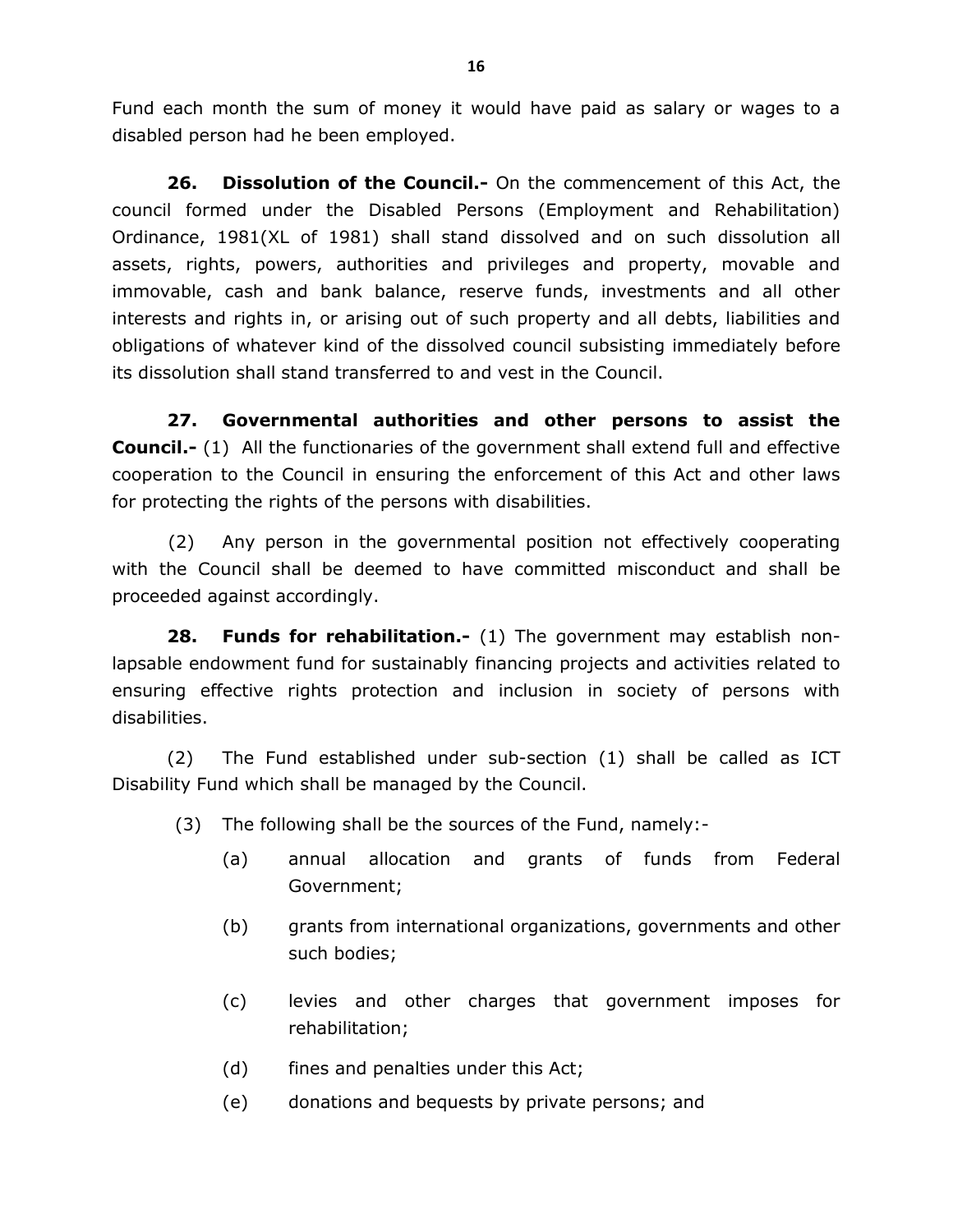Fund each month the sum of money it would have paid as salary or wages to a disabled person had he been employed.

**26. Dissolution of the Council.-** On the commencement of this Act, the council formed under the Disabled Persons (Employment and Rehabilitation) Ordinance, 1981(XL of 1981) shall stand dissolved and on such dissolution all assets, rights, powers, authorities and privileges and property, movable and immovable, cash and bank balance, reserve funds, investments and all other interests and rights in, or arising out of such property and all debts, liabilities and obligations of whatever kind of the dissolved council subsisting immediately before its dissolution shall stand transferred to and vest in the Council.

**27. Governmental authorities and other persons to assist the Council.-** (1) All the functionaries of the government shall extend full and effective cooperation to the Council in ensuring the enforcement of this Act and other laws for protecting the rights of the persons with disabilities.

(2) Any person in the governmental position not effectively cooperating with the Council shall be deemed to have committed misconduct and shall be proceeded against accordingly.

**28. Funds for rehabilitation.-** (1) The government may establish nonlapsable endowment fund for sustainably financing projects and activities related to ensuring effective rights protection and inclusion in society of persons with disabilities.

(2) The Fund established under sub-section (1) shall be called as ICT Disability Fund which shall be managed by the Council.

- (3) The following shall be the sources of the Fund, namely:-
	- (a) annual allocation and grants of funds from Federal Government;
	- (b) grants from international organizations, governments and other such bodies;
	- (c) levies and other charges that government imposes for rehabilitation;
	- (d) fines and penalties under this Act;
	- (e) donations and bequests by private persons; and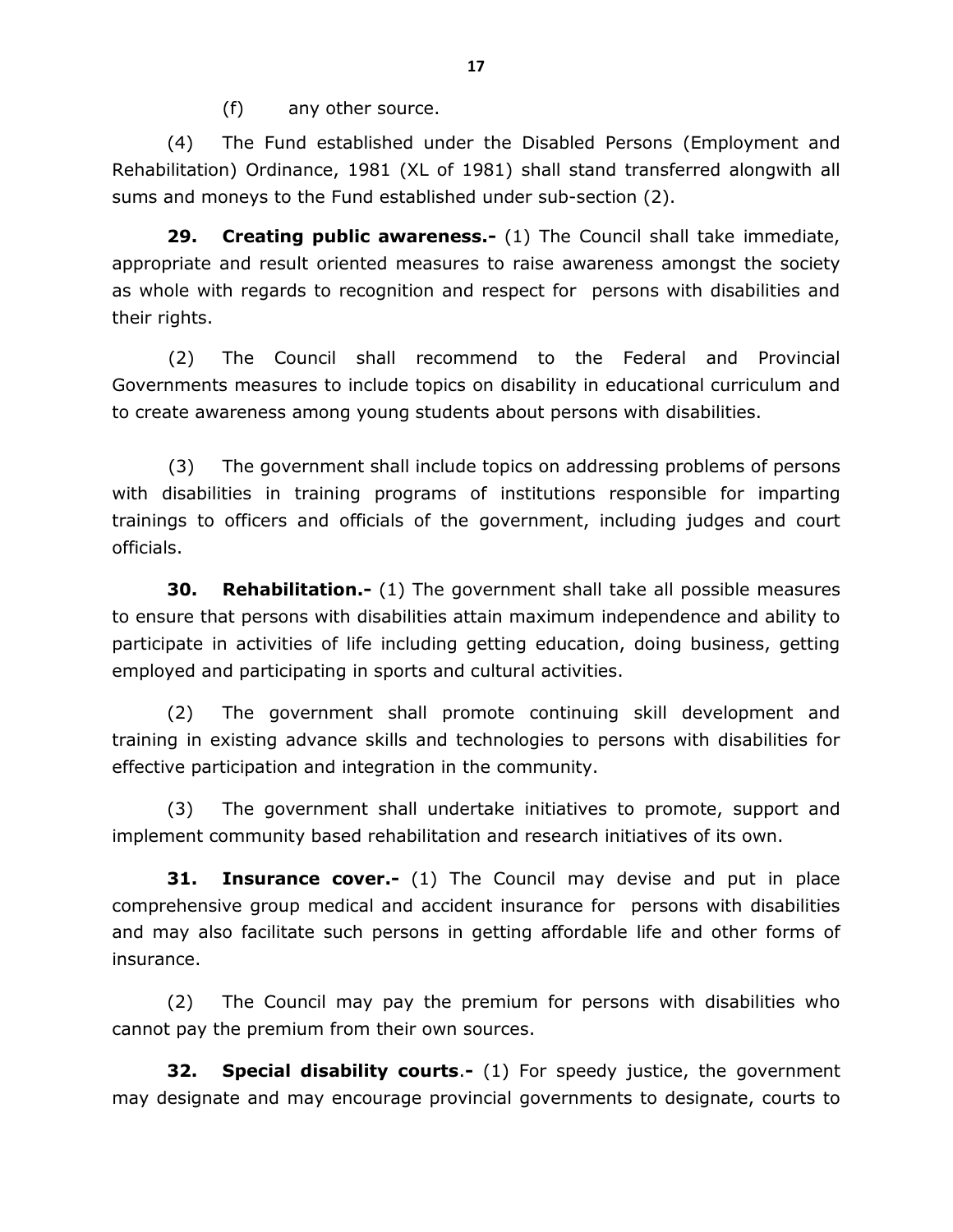(f) any other source.

(4) The Fund established under the Disabled Persons (Employment and Rehabilitation) Ordinance, 1981 (XL of 1981) shall stand transferred alongwith all sums and moneys to the Fund established under sub-section (2).

**29. Creating public awareness.-** (1) The Council shall take immediate, appropriate and result oriented measures to raise awareness amongst the society as whole with regards to recognition and respect for persons with disabilities and their rights.

(2) The Council shall recommend to the Federal and Provincial Governments measures to include topics on disability in educational curriculum and to create awareness among young students about persons with disabilities.

(3) The government shall include topics on addressing problems of persons with disabilities in training programs of institutions responsible for imparting trainings to officers and officials of the government, including judges and court officials.

**30. Rehabilitation.-** (1) The government shall take all possible measures to ensure that persons with disabilities attain maximum independence and ability to participate in activities of life including getting education, doing business, getting employed and participating in sports and cultural activities.

(2) The government shall promote continuing skill development and training in existing advance skills and technologies to persons with disabilities for effective participation and integration in the community.

(3) The government shall undertake initiatives to promote, support and implement community based rehabilitation and research initiatives of its own.

**31. Insurance cover.-** (1) The Council may devise and put in place comprehensive group medical and accident insurance for persons with disabilities and may also facilitate such persons in getting affordable life and other forms of insurance.

(2) The Council may pay the premium for persons with disabilities who cannot pay the premium from their own sources.

**32. Special disability courts**.**-** (1) For speedy justice, the government may designate and may encourage provincial governments to designate, courts to